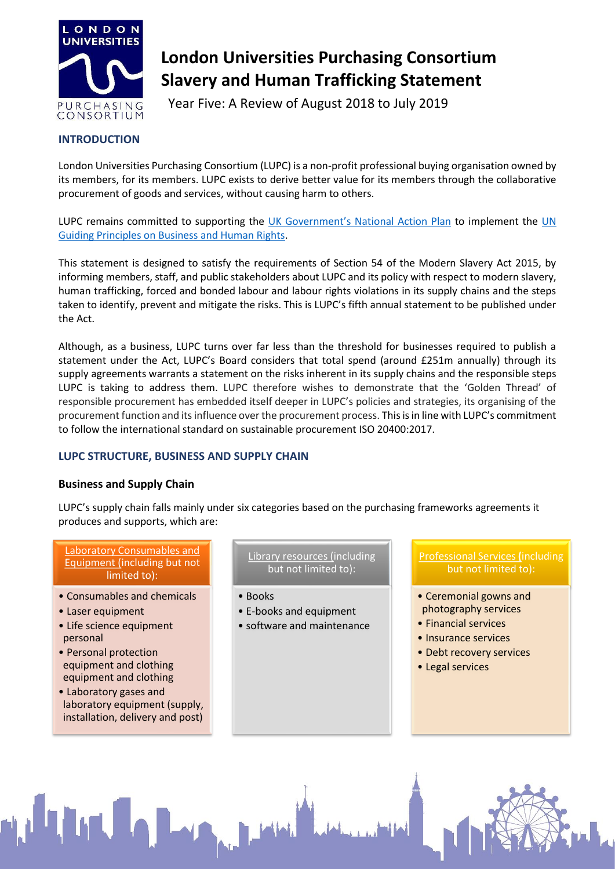

# **London Universities Purchasing Consortium Slavery and Human Trafficking Statement**

Year Five: A Review of August 2018 to July 2019

# **INTRODUCTION**

London Universities Purchasing Consortium (LUPC) is a non-profit professional buying organisation owned by its members, for its members. LUPC exists to derive better value for its members through the collaborative procurement of goods and services, without causing harm to others.

LUPC remains committed to supporting the [UK Government's National Action Plan](https://assets.publishing.service.gov.uk/government/uploads/system/uploads/attachment_data/file/522805/Good_Business_Implementing_the_UN_Guiding_Principles_on_Business_and_Human_Rights_updated_May_2016.pdf) to implement the UN [Guiding Principles on Business and Human Rights.](https://www.ohchr.org/Documents/Publications/GuidingPrinciplesBusinessHR_EN.pdf)

This statement is designed to satisfy the requirements of Section 54 of the Modern Slavery Act 2015, by informing members, staff, and public stakeholders about LUPC and its policy with respect to modern slavery, human trafficking, forced and bonded labour and labour rights violations in its supply chains and the steps taken to identify, prevent and mitigate the risks. This is LUPC's fifth annual statement to be published under the Act.

Although, as a business, LUPC turns over far less than the threshold for businesses required to publish a statement under the Act, LUPC's Board considers that total spend (around £251m annually) through its supply agreements warrants a statement on the risks inherent in its supply chains and the responsible steps LUPC is taking to address them. LUPC therefore wishes to demonstrate that the 'Golden Thread' of responsible procurement has embedded itself deeper in LUPC's policies and strategies, its organising of the procurement function and its influence over the procurement process. This is in line with LUPC's commitment to follow the international standard on sustainable procurement ISO 20400:2017.

# **LUPC STRUCTURE, BUSINESS AND SUPPLY CHAIN**

## **Business and Supply Chain**

LUPC's supply chain falls mainly under six categories based on the purchasing frameworks agreements it produces and supports, which are:

#### Laboratory Consumables and Equipment (including but not limited to):

- Consumables and chemicals
- Laser equipment
- Life science equipment personal
- Personal protection equipment and clothing equipment and clothing
- Laboratory gases and laboratory equipment (supply, installation, delivery and post)

Library resources (including but not limited to):

- Books
- E-books and equipment
- software and maintenance

Professional Services **(**including but not limited to):

- Ceremonial gowns and photography services
- Financial services
- Insurance services
- Debt recovery services
- Legal services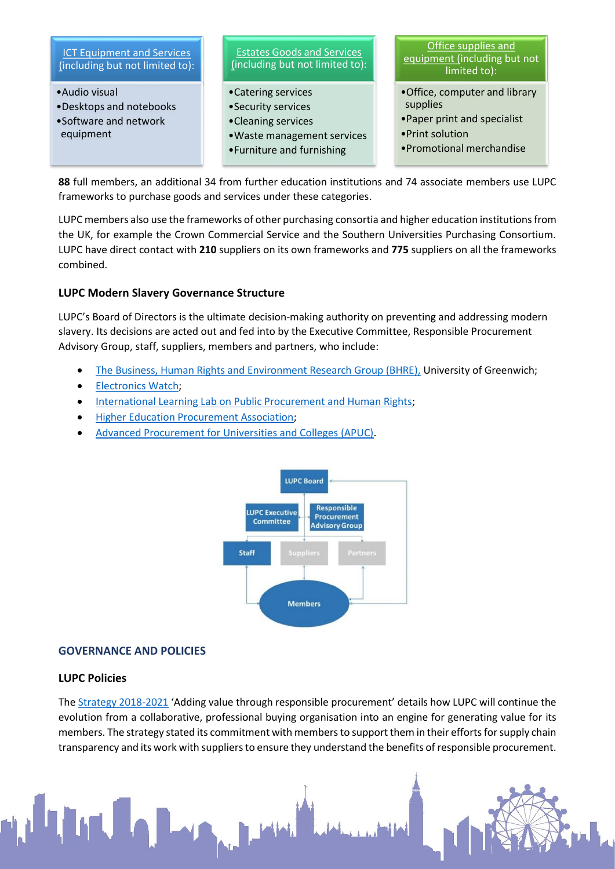

**88** full members, an additional 34 from further education institutions and 74 associate members use LUPC frameworks to purchase goods and services under these categories.

LUPC members also use the frameworks of other purchasing consortia and higher education institutions from the UK, for example the Crown Commercial Service and the Southern Universities Purchasing Consortium. LUPC have direct contact with **210** suppliers on its own frameworks and **775** suppliers on all the frameworks combined.

## **LUPC Modern Slavery Governance Structure**

LUPC's Board of Directors is the ultimate decision-making authority on preventing and addressing modern slavery. Its decisions are acted out and fed into by the Executive Committee, Responsible Procurement Advisory Group, staff, suppliers, members and partners, who include:

- [The Business, Human Rights and Environment Research Group \(BHRE\),](http://www.bhre.org/) University of Greenwich;
- [Electronics Watch;](http://www.electronicswatch.org/)
- [International Learning Lab on Public Procurement and Human Rights;](http://www.hrprocurement.org/)
- [Higher Education Procurement Association;](https://hepa.ac.uk/)
- [Advanced Procurement for Universities and Colleges](http://www.apuc-scot.ac.uk/) (APUC).



#### **GOVERNANCE AND POLICIES**

#### **LUPC Policies**

Th[e Strategy 2018-2021](https://www.lupc.ac.uk/sites/default/files/LUPC%20Strategy%202018-2021.pdf) 'Adding value through responsible procurement' details how LUPC will continue the evolution from a collaborative, professional buying organisation into an engine for generating value for its members. The strategy stated its commitment with members to support them in their efforts for supply chain transparency and its work with suppliers to ensure they understand the benefits of responsible procurement.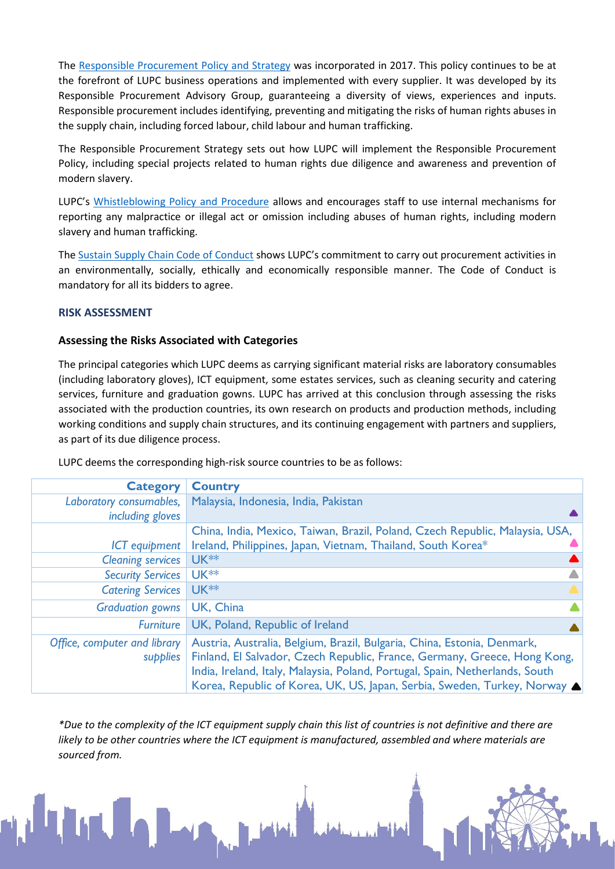The [Responsible Procurement Policy and Strategy](https://www.lupc.ac.uk/sites/default/files/lupc-responsible-procurement-policy-and-strategy-v10.pdf) was incorporated in 2017. This policy continues to be at the forefront of LUPC business operations and implemented with every supplier. It was developed by its Responsible Procurement Advisory Group, guaranteeing a diversity of views, experiences and inputs. Responsible procurement includes identifying, preventing and mitigating the risks of human rights abuses in the supply chain, including forced labour, child labour and human trafficking.

The Responsible Procurement Strategy sets out how LUPC will implement the Responsible Procurement Policy, including special projects related to human rights due diligence and awareness and prevention of modern slavery.

LUPC's [Whistleblowing Policy and Procedure](https://www.lupc.ac.uk/sites/default/files/lupc-whistleblowing-policy-and-procedure-11---230117_0.pdf) allows and encourages staff to use internal mechanisms for reporting any malpractice or illegal act or omission including abuses of human rights, including modern slavery and human trafficking.

The [Sustain Supply Chain Code of Conduct](https://www.lupc.ac.uk/sites/default/files/Sustain%20Supply%20Chain%20Code%20of%20Conduct.pdf) shows LUPC's commitment to carry out procurement activities in an environmentally, socially, ethically and economically responsible manner. The Code of Conduct is mandatory for all its bidders to agree.

## **RISK ASSESSMENT**

## **Assessing the Risks Associated with Categories**

The principal categories which LUPC deems as carrying significant material risks are laboratory consumables (including laboratory gloves), ICT equipment, some estates services, such as cleaning security and catering services, furniture and graduation gowns. LUPC has arrived at this conclusion through assessing the risks associated with the production countries, its own research on products and production methods, including working conditions and supply chain structures, and its continuing engagement with partners and suppliers, as part of its due diligence process.

| <b>Category</b>              | <b>Country</b>                                                               |  |
|------------------------------|------------------------------------------------------------------------------|--|
| Laboratory consumables,      | Malaysia, Indonesia, India, Pakistan                                         |  |
| including gloves             |                                                                              |  |
|                              | China, India, Mexico, Taiwan, Brazil, Poland, Czech Republic, Malaysia, USA, |  |
| <b>ICT</b> equipment         | Ireland, Philippines, Japan, Vietnam, Thailand, South Korea*                 |  |
| <b>Cleaning services</b>     | $UK**$                                                                       |  |
| <b>Security Services</b>     | UK <sup>**</sup>                                                             |  |
| <b>Catering Services</b>     | <b>UK **</b>                                                                 |  |
| <b>Graduation gowns</b>      | UK, China                                                                    |  |
| <b>Furniture</b>             | UK, Poland, Republic of Ireland                                              |  |
| Office, computer and library | Austria, Australia, Belgium, Brazil, Bulgaria, China, Estonia, Denmark,      |  |
| supplies                     | Finland, El Salvador, Czech Republic, France, Germany, Greece, Hong Kong,    |  |
|                              | India, Ireland, Italy, Malaysia, Poland, Portugal, Spain, Netherlands, South |  |
|                              | Korea, Republic of Korea, UK, US, Japan, Serbia, Sweden, Turkey, Norway A    |  |

LUPC deems the corresponding high-risk source countries to be as follows:

*\*Due to the complexity of the ICT equipment supply chain this list of countries is not definitive and there are likely to be other countries where the ICT equipment is manufactured, assembled and where materials are sourced from.*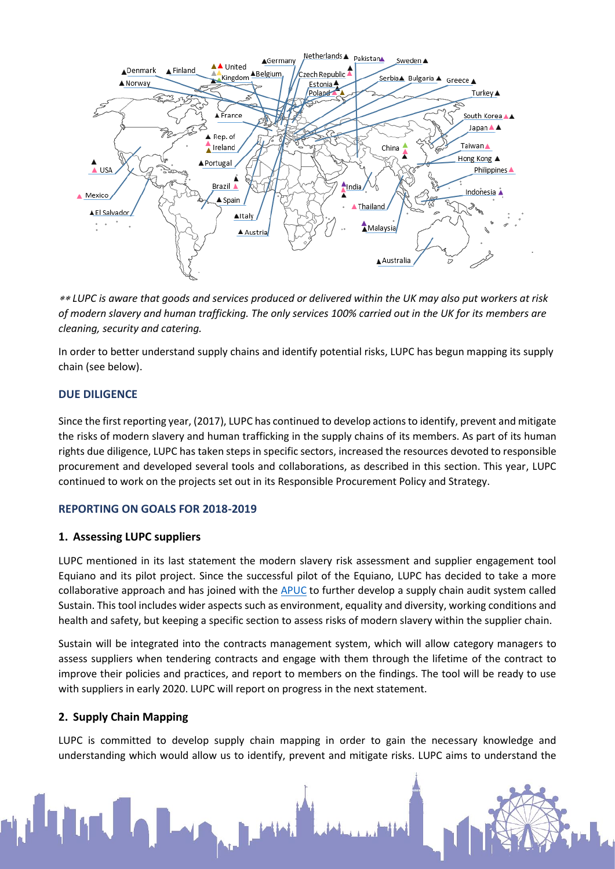

 *LUPC is aware that goods and services produced or delivered within the UK may also put workers at risk of modern slavery and human trafficking. The only services 100% carried out in the UK for its members are cleaning, security and catering.* 

In order to better understand supply chains and identify potential risks, LUPC has begun mapping its supply chain (see below).

## **DUE DILIGENCE**

Since the first reporting year, (2017), LUPC has continued to develop actions to identify, prevent and mitigate the risks of modern slavery and human trafficking in the supply chains of its members. As part of its human rights due diligence, LUPC has taken steps in specific sectors, increased the resources devoted to responsible procurement and developed several tools and collaborations, as described in this section. This year, LUPC continued to work on the projects set out in its Responsible Procurement Policy and Strategy.

#### **REPORTING ON GOALS FOR 2018-2019**

#### **1. Assessing LUPC suppliers**

LUPC mentioned in its last statement the modern slavery risk assessment and supplier engagement tool Equiano and its pilot project. Since the successful pilot of the Equiano, LUPC has decided to take a more collaborative approach and has joined with the [APUC](http://www.apuc-scot.ac.uk/) to further develop a supply chain audit system called Sustain. This tool includes wider aspects such as environment, equality and diversity, working conditions and health and safety, but keeping a specific section to assess risks of modern slavery within the supplier chain.

Sustain will be integrated into the contracts management system, which will allow category managers to assess suppliers when tendering contracts and engage with them through the lifetime of the contract to improve their policies and practices, and report to members on the findings. The tool will be ready to use with suppliers in early 2020. LUPC will report on progress in the next statement.

## **2. Supply Chain Mapping**

LUPC is committed to develop supply chain mapping in order to gain the necessary knowledge and understanding which would allow us to identify, prevent and mitigate risks. LUPC aims to understand the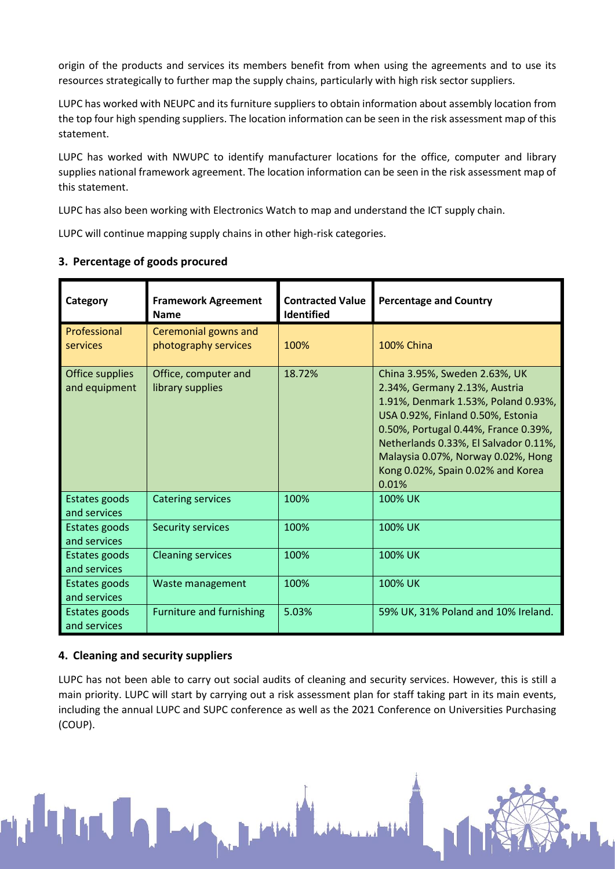origin of the products and services its members benefit from when using the agreements and to use its resources strategically to further map the supply chains, particularly with high risk sector suppliers.

LUPC has worked with NEUPC and its furniture suppliers to obtain information about assembly location from the top four high spending suppliers. The location information can be seen in the risk assessment map of this statement.

LUPC has worked with NWUPC to identify manufacturer locations for the office, computer and library supplies national framework agreement. The location information can be seen in the risk assessment map of this statement.

LUPC has also been working with Electronics Watch to map and understand the ICT supply chain.

LUPC will continue mapping supply chains in other high-risk categories.

| Category                         | <b>Framework Agreement</b><br><b>Name</b>    | <b>Contracted Value</b><br>Identified | <b>Percentage and Country</b>                                                                                                                                                                                                                                                                                   |
|----------------------------------|----------------------------------------------|---------------------------------------|-----------------------------------------------------------------------------------------------------------------------------------------------------------------------------------------------------------------------------------------------------------------------------------------------------------------|
| Professional<br>services         | Ceremonial gowns and<br>photography services | 100%                                  | <b>100% China</b>                                                                                                                                                                                                                                                                                               |
| Office supplies<br>and equipment | Office, computer and<br>library supplies     | 18.72%                                | China 3.95%, Sweden 2.63%, UK<br>2.34%, Germany 2.13%, Austria<br>1.91%, Denmark 1.53%, Poland 0.93%,<br>USA 0.92%, Finland 0.50%, Estonia<br>0.50%, Portugal 0.44%, France 0.39%,<br>Netherlands 0.33%, El Salvador 0.11%,<br>Malaysia 0.07%, Norway 0.02%, Hong<br>Kong 0.02%, Spain 0.02% and Korea<br>0.01% |
| Estates goods<br>and services    | <b>Catering services</b>                     | 100%                                  | 100% UK                                                                                                                                                                                                                                                                                                         |
| Estates goods<br>and services    | <b>Security services</b>                     | 100%                                  | 100% UK                                                                                                                                                                                                                                                                                                         |
| Estates goods<br>and services    | <b>Cleaning services</b>                     | 100%                                  | 100% UK                                                                                                                                                                                                                                                                                                         |
| Estates goods<br>and services    | Waste management                             | 100%                                  | 100% UK                                                                                                                                                                                                                                                                                                         |
| Estates goods<br>and services    | <b>Furniture and furnishing</b>              | 5.03%                                 | 59% UK, 31% Poland and 10% Ireland.                                                                                                                                                                                                                                                                             |

# **3. Percentage of goods procured**

## **4. Cleaning and security suppliers**

LUPC has not been able to carry out social audits of cleaning and security services. However, this is still a main priority. LUPC will start by carrying out a risk assessment plan for staff taking part in its main events, including the annual LUPC and SUPC conference as well as the 2021 Conference on Universities Purchasing (COUP).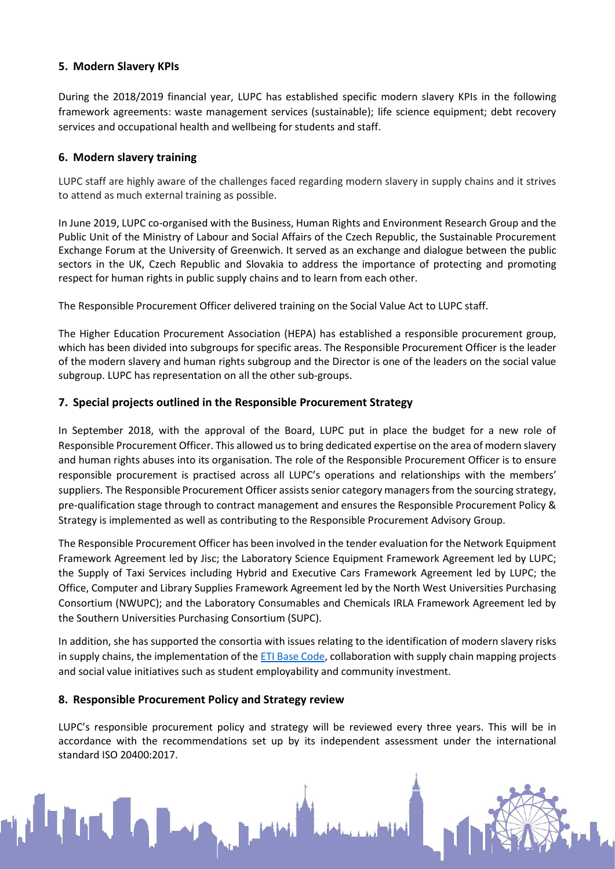# **5. Modern Slavery KPIs**

During the 2018/2019 financial year, LUPC has established specific modern slavery KPIs in the following framework agreements: waste management services (sustainable); life science equipment; debt recovery services and occupational health and wellbeing for students and staff.

## **6. Modern slavery training**

LUPC staff are highly aware of the challenges faced regarding modern slavery in supply chains and it strives to attend as much external training as possible.

In June 2019, LUPC co-organised with the Business, Human Rights and Environment Research Group and the Public Unit of the Ministry of Labour and Social Affairs of the Czech Republic, the Sustainable Procurement Exchange Forum at the University of Greenwich. It served as an exchange and dialogue between the public sectors in the UK, Czech Republic and Slovakia to address the importance of protecting and promoting respect for human rights in public supply chains and to learn from each other.

The Responsible Procurement Officer delivered training on the Social Value Act to LUPC staff.

The Higher Education Procurement Association (HEPA) has established a responsible procurement group, which has been divided into subgroups for specific areas. The Responsible Procurement Officer is the leader of the modern slavery and human rights subgroup and the Director is one of the leaders on the social value subgroup. LUPC has representation on all the other sub-groups.

## **7. Special projects outlined in the Responsible Procurement Strategy**

In September 2018, with the approval of the Board, LUPC put in place the budget for a new role of Responsible Procurement Officer. This allowed us to bring dedicated expertise on the area of modern slavery and human rights abuses into its organisation. The role of the Responsible Procurement Officer is to ensure responsible procurement is practised across all LUPC's operations and relationships with the members' suppliers. The Responsible Procurement Officer assists senior category managers from the sourcing strategy, pre-qualification stage through to contract management and ensures the Responsible Procurement Policy & Strategy is implemented as well as contributing to the Responsible Procurement Advisory Group.

The Responsible Procurement Officer has been involved in the tender evaluation for the Network Equipment Framework Agreement led by Jisc; the Laboratory Science Equipment Framework Agreement led by LUPC; the Supply of Taxi Services including Hybrid and Executive Cars Framework Agreement led by LUPC; the Office, Computer and Library Supplies Framework Agreement led by the North West Universities Purchasing Consortium (NWUPC); and the Laboratory Consumables and Chemicals IRLA Framework Agreement led by the Southern Universities Purchasing Consortium (SUPC).

In addition, she has supported the consortia with issues relating to the identification of modern slavery risks in supply chains, the implementation of the  $ETI$  Base Code, collaboration with supply chain mapping projects and social value initiatives such as student employability and community investment.

## **8. Responsible Procurement Policy and Strategy review**

LUPC's responsible procurement policy and strategy will be reviewed every three years. This will be in accordance with the recommendations set up by its independent assessment under the international standard ISO 20400:2017.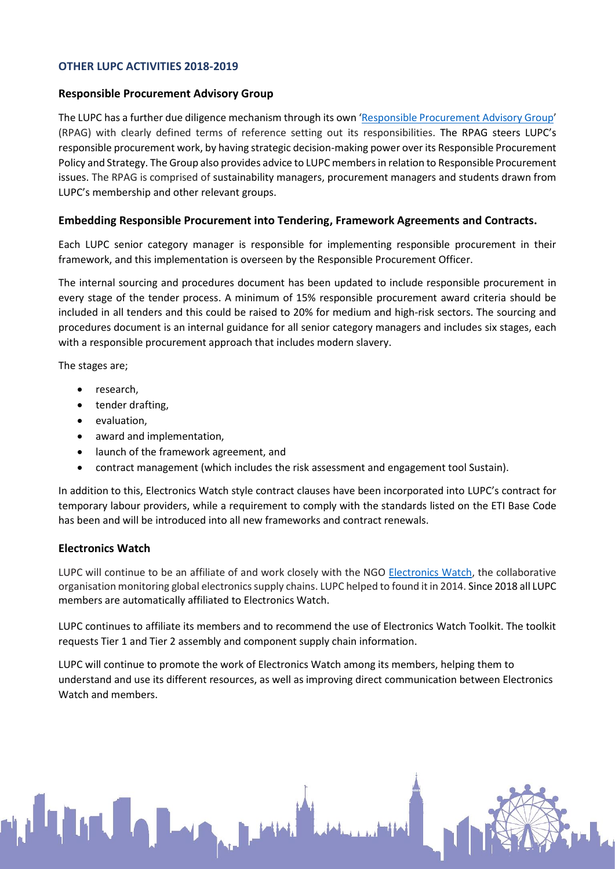## **OTHER LUPC ACTIVITIES 2018-2019**

#### **Responsible Procurement Advisory Group**

The LUPC has a further due diligence mechanism through its own '[Responsible Procurement Advisory Group](https://www.lupc.ac.uk/responsible-procurement-advisory-group)' (RPAG) with clearly defined terms of reference setting out its responsibilities. The RPAG steers LUPC's responsible procurement work, by having strategic decision-making power over its Responsible Procurement Policy and Strategy. The Group also provides advice to LUPC members in relation to Responsible Procurement issues. The RPAG is comprised of sustainability managers, procurement managers and students drawn from LUPC's membership and other relevant groups.

#### **Embedding Responsible Procurement into Tendering, Framework Agreements and Contracts.**

Each LUPC senior category manager is responsible for implementing responsible procurement in their framework, and this implementation is overseen by the Responsible Procurement Officer.

The internal sourcing and procedures document has been updated to include responsible procurement in every stage of the tender process. A minimum of 15% responsible procurement award criteria should be included in all tenders and this could be raised to 20% for medium and high-risk sectors. The sourcing and procedures document is an internal guidance for all senior category managers and includes six stages, each with a responsible procurement approach that includes modern slavery.

The stages are;

- research,
- tender drafting,
- evaluation,
- award and implementation,
- launch of the framework agreement, and
- contract management (which includes the risk assessment and engagement tool Sustain).

In addition to this, Electronics Watch style contract clauses have been incorporated into LUPC's contract for temporary labour providers, while a requirement to comply with the standards listed on the ETI Base Code has been and will be introduced into all new frameworks and contract renewals.

#### **Electronics Watch**

LUPC will continue to be an affiliate of and work closely with the NGO [Electronics Watch,](http://electronicswatch.org/en) the collaborative organisation monitoring global electronics supply chains. LUPC helped to found it in 2014. Since 2018 all LUPC members are automatically affiliated to Electronics Watch.

LUPC continues to affiliate its members and to recommend the use of Electronics Watch Toolkit. The toolkit requests Tier 1 and Tier 2 assembly and component supply chain information.

LUPC will continue to promote the work of Electronics Watch among its members, helping them to understand and use its different resources, as well as improving direct communication between Electronics Watch and members.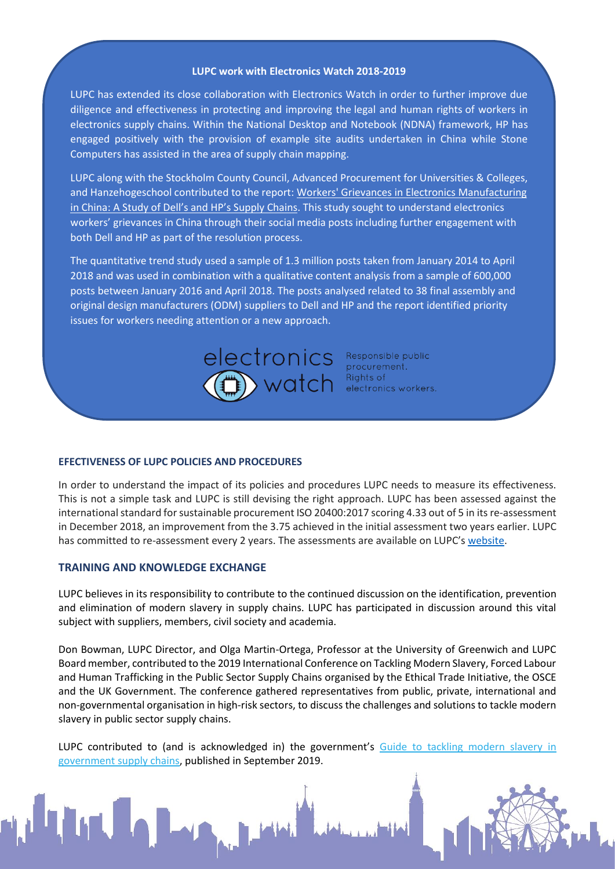#### **LUPC work with Electronics Watch 2018-2019**

LUPC has extended its close collaboration with Electronics Watch in order to further improve due diligence and effectiveness in protecting and improving the legal and human rights of workers in electronics supply chains. Within the National Desktop and Notebook (NDNA) framework, HP has engaged positively with the provision of example site audits undertaken in China while Stone Computers has assisted in the area of supply chain mapping.

LUPC along with the Stockholm County Council, Advanced Procurement for Universities & Colleges, and Hanzehogeschool contributed to the report: Workers' Grievances in Electronics Manufacturing [in China: A Study of Dell's and HP's Supply Chains](http://electronicswatch.org/workers-grievances-in-electronics-manufacturing-in-china-a-study-of-dell-s-and-hp-s-supply-chains-october-2019_2564778.pdf). This study sought to understand electronics workers' grievances in China through their social media posts including further engagement with both Dell and HP as part of the resolution process.

The quantitative trend study used a sample of 1.3 million posts taken from January 2014 to April 2018 and was used in combination with a qualitative content analysis from a sample of 600,000 posts between January 2016 and April 2018. The posts analysed related to 38 final assembly and original design manufacturers (ODM) suppliers to Dell and HP and the report identified priority issues for workers needing attention or a new approach.



procurement.  $\triangleright$  Watch  $\overline{\phantom{a}}^{\text{Frocoferment.}}_{\text{electronic sources.}}$ 

#### **EFECTIVENESS OF LUPC POLICIES AND PROCEDURES**

In order to understand the impact of its policies and procedures LUPC needs to measure its effectiveness. This is not a simple task and LUPC is still devising the right approach. LUPC has been assessed against the international standard for sustainable procurement ISO 20400:2017 scoring 4.33 out of 5 in itsre-assessment in December 2018, an improvement from the 3.75 achieved in the initial assessment two years earlier. LUPC has committed to re-assessment every 2 years. The assessments are available on LUPC's [website.](https://www.lupc.ac.uk/iso-204002017)

#### **TRAINING AND KNOWLEDGE EXCHANGE**

LUPC believes in its responsibility to contribute to the continued discussion on the identification, prevention and elimination of modern slavery in supply chains. LUPC has participated in discussion around this vital subject with suppliers, members, civil society and academia.

Don Bowman, LUPC Director, and Olga Martin-Ortega, Professor at the University of Greenwich and LUPC Board member, contributed to the 2019 International Conference on Tackling Modern Slavery, Forced Labour and Human Trafficking in the Public Sector Supply Chains organised by the Ethical Trade Initiative, the OSCE and the UK Government. The conference gathered representatives from public, private, international and non-governmental organisation in high-risk sectors, to discuss the challenges and solutions to tackle modern slavery in public sector supply chains.

LUPC contributed to (and is acknowledged in) the government's Guide to tackling modern slavery in [government supply chains,](https://assets.publishing.service.gov.uk/government/uploads/system/uploads/attachment_data/file/830150/September_2019_Modern_Slavery_Guidance.pdf) published in September 2019.